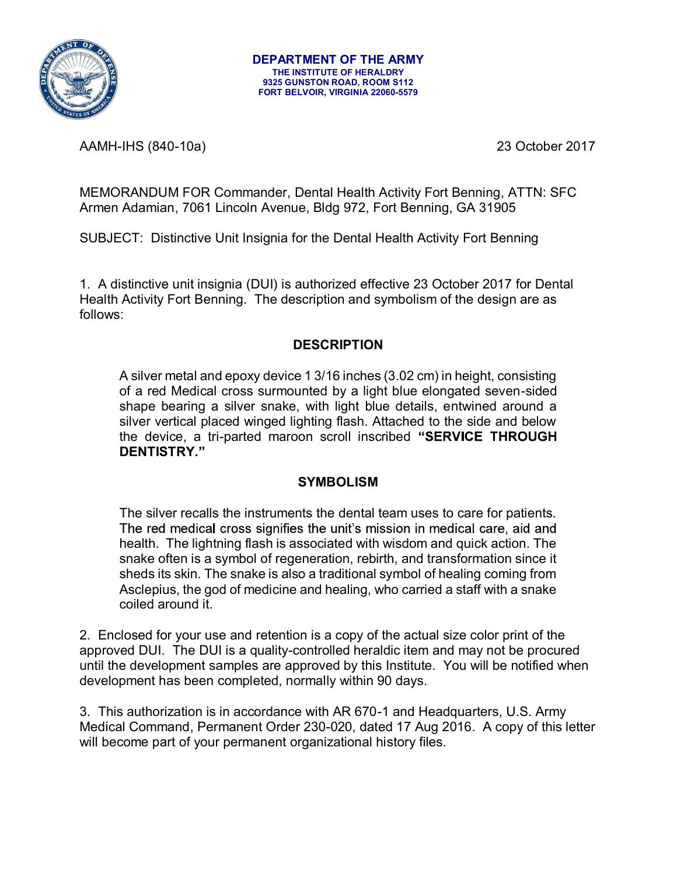

AAMH-IHS (840-10a) 23 October 2017

MEMORANDUM FOR Commander, Dental Health Activity Fort Benning, ATTN: SFC Armen Adamian, 7061 Lincoln Avenue, Bldg 972, Fort Benning, GA 31905

SUBJECT: Distinctive Unit Insignia for the Dental Health Activity Fort Benning

1. A distinctive unit insignia (DUI) is authorized effective 23 October 2017 for Dental Health Activity Fort Benning. The description and symbolism of the design are as follows:

## **DESCRIPTION**

A silver metal and epoxy device 1 3/16 inches (3.02 cm) in height, consisting of a red Medical cross surmounted by a light blue elongated seven-sided shape bearing a silver snake, with light blue details, entwined around a silver vertical placed winged lighting flash. Attached to the side and below the device, a tri-parted maroon scroll inscribed "SERVICE THROUGH DENTISTRY."

## **SYMBOLISM**

The silver recalls the instruments the dental team uses to care for patients. The red medical cross signifies the unit's mission in medical care, aid and health. The lightning flash is associated with wisdom and quick action. The snake often is a symbol of regeneration, rebirth, and transformation since it sheds its skin. The snake is also a traditional symbol of healing coming from Asclepius, the god of medicine and healing, who carried a staff with a snake coiled around it.

2. Enclosed for your use and retention is a copy of the actual size color print of the approved DUI. The DUI is a quality-controlled heraldic item and may not be procured until the development samples are approved by this Institute. You will be notified when development has been completed, normally within 90 days.

3. This authorization is in accordance with AR 670-1 and Headquarters, U.S. Army Medical Command, Permanent Order 230-020, dated 17 Aug 2016. A copy of this letter will become part of your permanent organizational history files.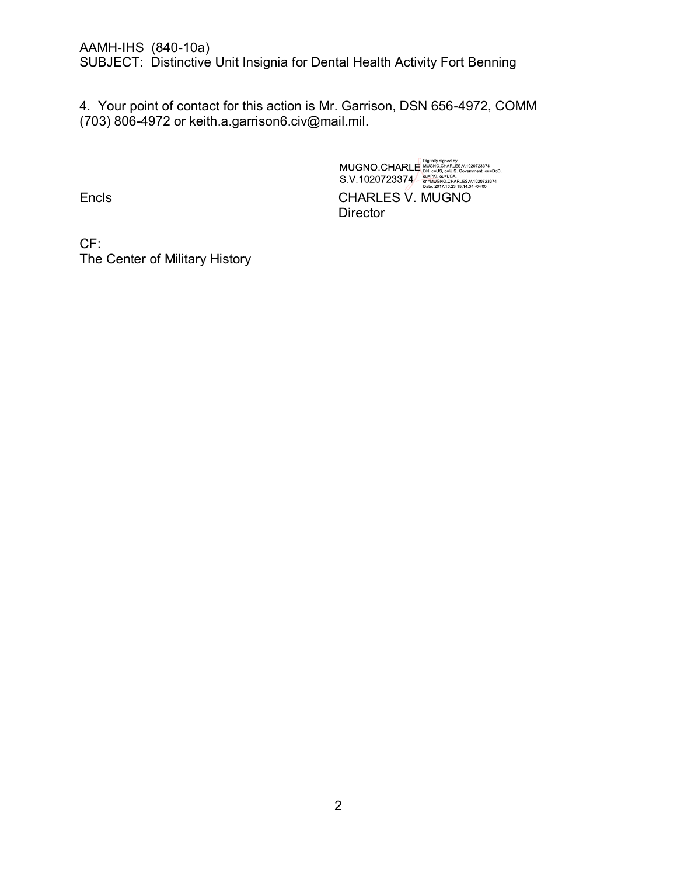AAMH-IHS (840-10a)

SUBJECT: Distinctive Unit Insignia for Dental Health Activity Fort Benning

4. Your point of contact for this action is Mr. Garrison, DSN 656-4972, COMM (703) 806-4972 or keith.a.garrison6.civ@mail.mil.

MUGNO.CHARLE MUGNO CHARLES V.1020723374<br>S.V.1020723374 = HN: CHARLES V.1020723374<br>S.V.1020723374 = HN: Quell SA, CHARLES V.1020723374<br>HD: 2017.10.23 15:14:34 -4400 Encls CHARLES V. MUGNO **Director** 

CF: The Center of Military History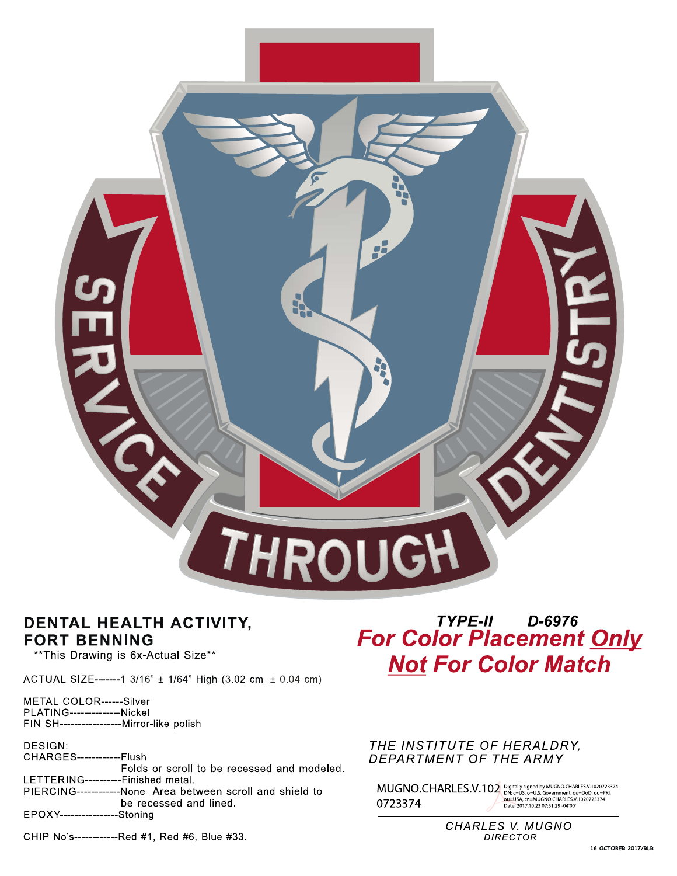

## DENTAL HEALTH ACTIVITY, **FORT BENNING**

\*\* This Drawing is 6x-Actual Size\*\*

ACTUAL SIZE-------1 3/16" ± 1/64" High (3.02 cm ± 0.04 cm)

METAL COLOR------Silver PLATING--------------Nickel FINISH------------------Mirror-like polish

DESIGN: CHARGES----Flush Folds or scroll to be recessed and modeled. LETTERING----------Finished metal. PIERCING------------None- Area between scroll and shield to be recessed and lined. EPOXY-----------------Stoning

# TYPE-II D-6976 **For Color Placement Only Not For Color Match**

## THE INSTITUTE OF HERALDRY, DEPARTMENT OF THE ARMY

 $\text{MUGNO.} \text{CHARLES.V.102}^{\text{Digitally signed by MUGNO.} \text{CHARLES. V.1020723374}}$ ou=USA, cn=MUGNO.CHARLES.V.1020723374<br>Date: 2017.10.23 07:51:29 -04'00' 0723374

> **CHARLES V. MUGNO** DIRECTOR

#### CHIP No's------------Red #1, Red #6, Blue #33.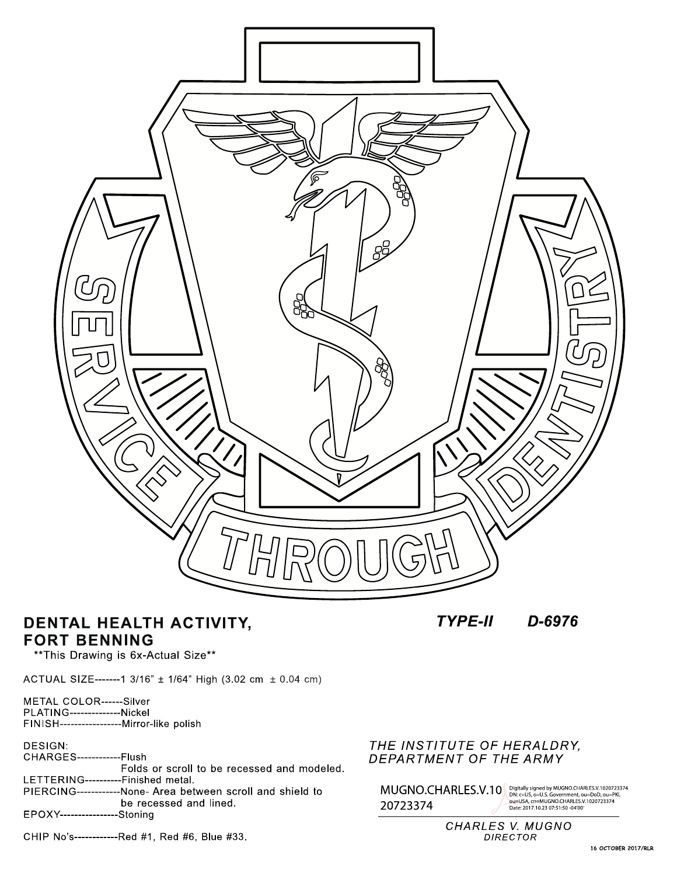

## DENTAL HEALTH ACTIVITY, **FORT BENNING**

**TYPE-II** D-6976

\*\* This Drawing is 6x-Actual Size\*\*

ACTUAL SIZE-------1 3/16" ± 1/64" High (3.02 cm ± 0.04 cm)

METAL COLOR------Silver<br>PLATING--------------Nickel<br>FINISH-----------------Mirror-like polish

DESIGN: **CHARGES-------------Flush** Folds or scroll to be recessed and modeled. LETTERING----------Finished metal.

PIERCING------------None- Area between scroll and shield to be recessed and lined. EPOXY-----------------Stoning

CHIP No's-------------Red #1, Red #6, Blue #33.

## THE INSTITUTE OF HERALDRY, DEPARTMENT OF THE ARMY

 $\text{MUGNO.CHARLES.V.10}\tiny{\begin{pmatrix} \text{Digitally signed by MUGNO.CHARLES.V.1020723374}\\ \text{DN: C=US, O=U.S. G=U.S. G=WIGRO. (CHARLES.V.1020723374)}\\ \text{Date. 2017.10.23 07:51:50-0400}\end{pmatrix}}_{\text{Date. 2017.10.23 07:51:50-0400}}$ 

CHARLES V. MUGNO **DIRECTOR**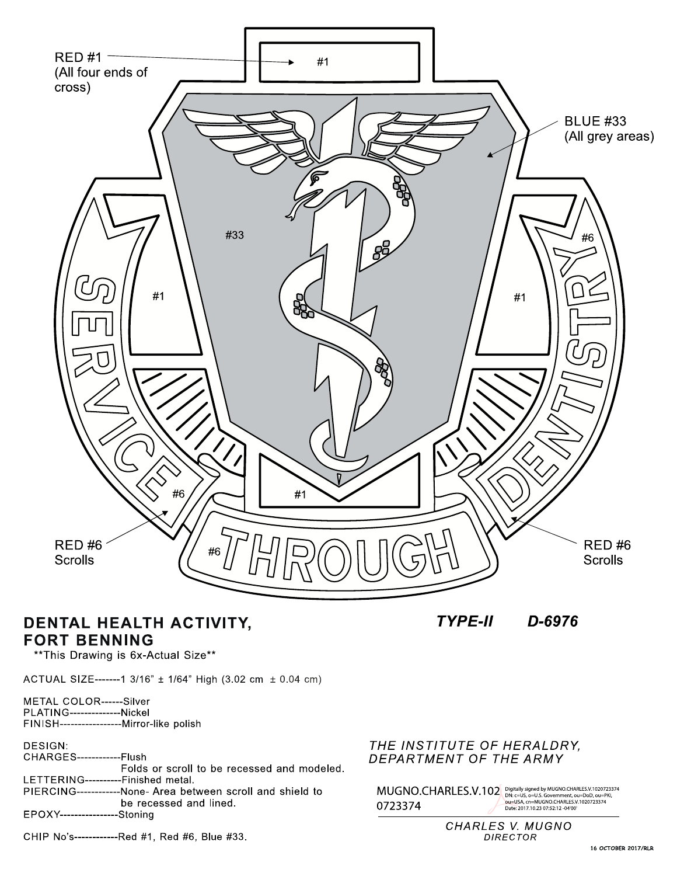

## DENTAL HEALTH ACTIVITY, **FORT BENNING**

**TYPE-II** D-6976

\*\* This Drawing is 6x-Actual Size\*\*

ACTUAL SIZE-------1 3/16" ± 1/64" High (3.02 cm ± 0.04 cm)

METAL COLOR------Silver PLATING---------------Nickel FINISH------------------Mirror-like polish

DESIGN:

**CHARGES-------------Flush** Folds or scroll to be recessed and modeled. LETTERING----------Finished metal. PIERCING------------None- Area between scroll and shield to be recessed and lined. EPOXY-----------------Stoning

## THE INSTITUTE OF HERALDRY, DEPARTMENT OF THE ARMY

 $\text{MUGNO.CHARLES.V.102} \tiny \text{Digitally signed by MUGNO.CHARLES.V.1020723374} \\\text{D723374} \tiny \text{D1233} \\\text{D1333} \\\text{D23374} \\\text{D23374} \\\text{D333} \\\text{D433} \\\text{D443} \\\text{D453} \\\text{D461} \\\text{D473} \\\text{D481} \\\text{D49} \\\text{D40} \\\text{D41} \\\text{D42} \\\text{D43} \\\text{D44} \\\text{D45}$ 

**CHARLES V. MUGNO DIRECTOR** 

## CHIP No's-------------Red #1, Red #6, Blue #33.